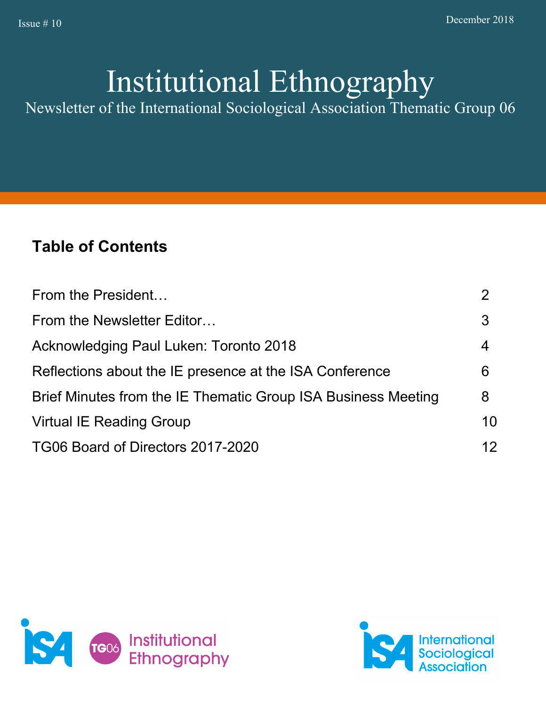# Institutional Ethnography

Newsletter of the International Sociological Association Thematic Group 06

# **Table of Contents**

| From the President                                            |    |
|---------------------------------------------------------------|----|
| From the Newsletter Editor                                    | 3  |
| Acknowledging Paul Luken: Toronto 2018                        | 4  |
| Reflections about the IE presence at the ISA Conference       | 6  |
| Brief Minutes from the IE Thematic Group ISA Business Meeting | 8  |
| <b>Virtual IE Reading Group</b>                               | 10 |
| TG06 Board of Directors 2017-2020                             | 12 |



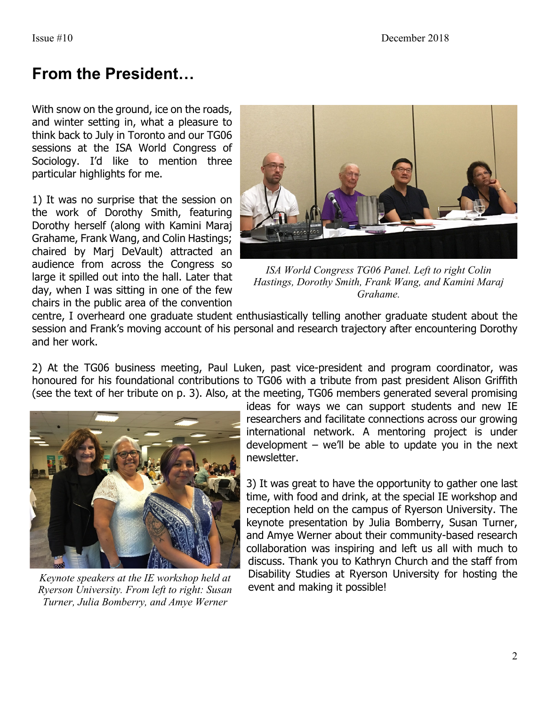# **From the President…**

With snow on the ground, ice on the roads, and winter setting in, what a pleasure to think back to July in Toronto and our TG06 sessions at the ISA World Congress of Sociology. I'd like to mention three particular highlights for me.

1) It was no surprise that the session on the work of Dorothy Smith, featuring Dorothy herself (along with Kamini Maraj Grahame, Frank Wang, and Colin Hastings; chaired by Marj DeVault) attracted an audience from across the Congress so large it spilled out into the hall. Later that day, when I was sitting in one of the few chairs in the public area of the convention



*ISA World Congress TG06 Panel. Left to right Colin Hastings, Dorothy Smith, Frank Wang, and Kamini Maraj Grahame.*

centre, I overheard one graduate student enthusiastically telling another graduate student about the session and Frank's moving account of his personal and research trajectory after encountering Dorothy and her work.

2) At the TG06 business meeting, Paul Luken, past vice-president and program coordinator, was honoured for his foundational contributions to TG06 with a tribute from past president Alison Griffith (see the text of her tribute on p. 3). Also, at the meeting, TG06 members generated several promising



*Keynote speakers at the IE workshop held at Ryerson University. From left to right: Susan Turner, Julia Bomberry, and Amye Werner*

ideas for ways we can support students and new IE researchers and facilitate connections across our growing international network. A mentoring project is under development – we'll be able to update you in the next newsletter.

3) It was great to have the opportunity to gather one last time, with food and drink, at the special IE workshop and reception held on the campus of Ryerson University. The keynote presentation by Julia Bomberry, Susan Turner, and Amye Werner about their community-based research collaboration was inspiring and left us all with much to discuss. Thank you to Kathryn Church and the staff from Disability Studies at Ryerson University for hosting the event and making it possible!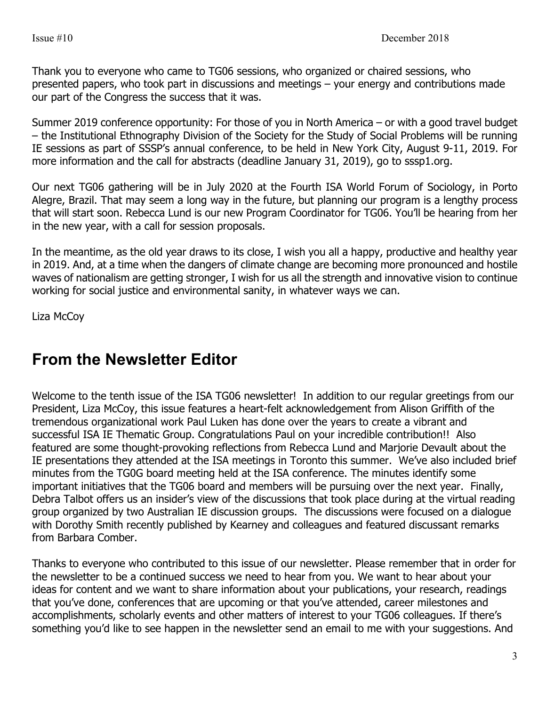Thank you to everyone who came to TG06 sessions, who organized or chaired sessions, who presented papers, who took part in discussions and meetings – your energy and contributions made our part of the Congress the success that it was.

Summer 2019 conference opportunity: For those of you in North America – or with a good travel budget – the Institutional Ethnography Division of the Society for the Study of Social Problems will be running IE sessions as part of SSSP's annual conference, to be held in New York City, August 9-11, 2019. For more information and the call for abstracts (deadline January 31, 2019), go to sssp1.org.

Our next TG06 gathering will be in July 2020 at the Fourth ISA World Forum of Sociology, in Porto Alegre, Brazil. That may seem a long way in the future, but planning our program is a lengthy process that will start soon. Rebecca Lund is our new Program Coordinator for TG06. You'll be hearing from her in the new year, with a call for session proposals.

In the meantime, as the old year draws to its close, I wish you all a happy, productive and healthy year in 2019. And, at a time when the dangers of climate change are becoming more pronounced and hostile waves of nationalism are getting stronger, I wish for us all the strength and innovative vision to continue working for social justice and environmental sanity, in whatever ways we can.

Liza McCoy

### **From the Newsletter Editor**

Welcome to the tenth issue of the ISA TG06 newsletter! In addition to our regular greetings from our President, Liza McCoy, this issue features a heart-felt acknowledgement from Alison Griffith of the tremendous organizational work Paul Luken has done over the years to create a vibrant and successful ISA IE Thematic Group. Congratulations Paul on your incredible contribution!! Also featured are some thought-provoking reflections from Rebecca Lund and Marjorie Devault about the IE presentations they attended at the ISA meetings in Toronto this summer. We've also included brief minutes from the TG0G board meeting held at the ISA conference. The minutes identify some important initiatives that the TG06 board and members will be pursuing over the next year. Finally, Debra Talbot offers us an insider's view of the discussions that took place during at the virtual reading group organized by two Australian IE discussion groups. The discussions were focused on a dialogue with Dorothy Smith recently published by Kearney and colleagues and featured discussant remarks from Barbara Comber.

Thanks to everyone who contributed to this issue of our newsletter. Please remember that in order for the newsletter to be a continued success we need to hear from you. We want to hear about your ideas for content and we want to share information about your publications, your research, readings that you've done, conferences that are upcoming or that you've attended, career milestones and accomplishments, scholarly events and other matters of interest to your TG06 colleagues. If there's something you'd like to see happen in the newsletter send an email to me with your suggestions. And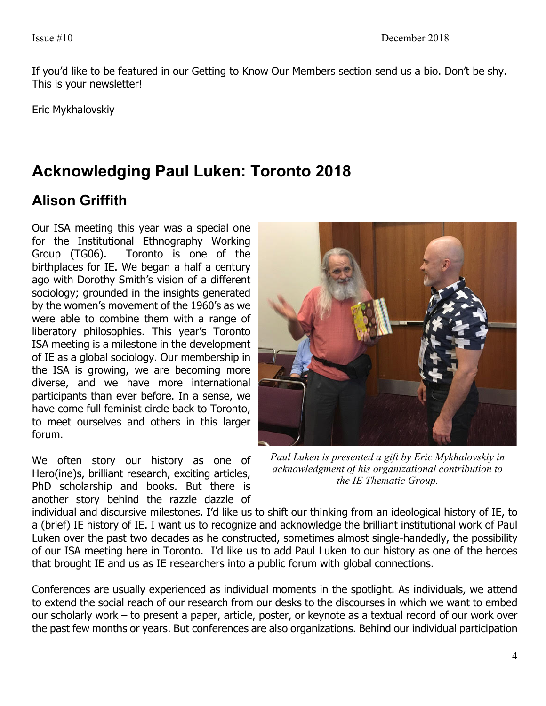If you'd like to be featured in our Getting to Know Our Members section send us a bio. Don't be shy. This is your newsletter!

Eric Mykhalovskiy

# **Acknowledging Paul Luken: Toronto 2018**

### **Alison Griffith**

Our ISA meeting this year was a special one for the Institutional Ethnography Working Group (TG06). Toronto is one of the birthplaces for IE. We began a half a century ago with Dorothy Smith's vision of a different sociology; grounded in the insights generated by the women's movement of the 1960's as we were able to combine them with a range of liberatory philosophies. This year's Toronto ISA meeting is a milestone in the development of IE as a global sociology. Our membership in the ISA is growing, we are becoming more diverse, and we have more international participants than ever before. In a sense, we have come full feminist circle back to Toronto, to meet ourselves and others in this larger forum.

We often story our history as one of Hero(ine)s, brilliant research, exciting articles, PhD scholarship and books. But there is another story behind the razzle dazzle of



*Paul Luken is presented a gift by Eric Mykhalovskiy in acknowledgment of his organizational contribution to the IE Thematic Group.*

individual and discursive milestones. I'd like us to shift our thinking from an ideological history of IE, to a (brief) IE history of IE. I want us to recognize and acknowledge the brilliant institutional work of Paul Luken over the past two decades as he constructed, sometimes almost single-handedly, the possibility of our ISA meeting here in Toronto. I'd like us to add Paul Luken to our history as one of the heroes that brought IE and us as IE researchers into a public forum with global connections.

Conferences are usually experienced as individual moments in the spotlight. As individuals, we attend to extend the social reach of our research from our desks to the discourses in which we want to embed our scholarly work – to present a paper, article, poster, or keynote as a textual record of our work over the past few months or years. But conferences are also organizations. Behind our individual participation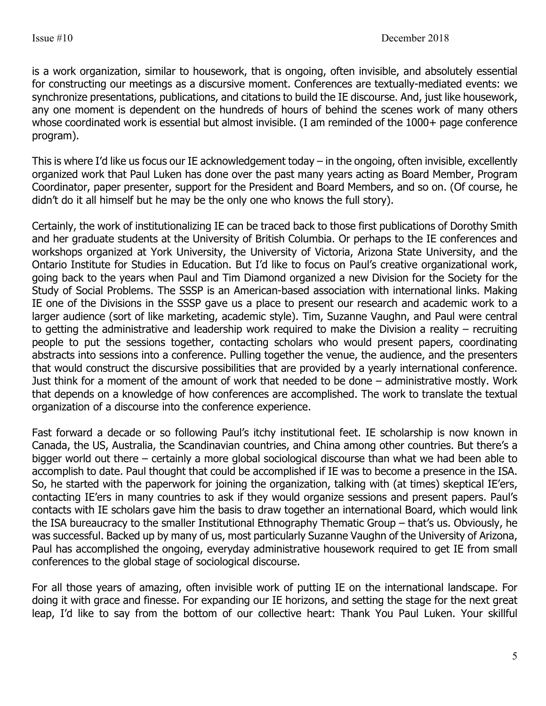is a work organization, similar to housework, that is ongoing, often invisible, and absolutely essential for constructing our meetings as a discursive moment. Conferences are textually-mediated events: we synchronize presentations, publications, and citations to build the IE discourse. And, just like housework, any one moment is dependent on the hundreds of hours of behind the scenes work of many others whose coordinated work is essential but almost invisible. (I am reminded of the 1000+ page conference program).

This is where I'd like us focus our IE acknowledgement today – in the ongoing, often invisible, excellently organized work that Paul Luken has done over the past many years acting as Board Member, Program Coordinator, paper presenter, support for the President and Board Members, and so on. (Of course, he didn't do it all himself but he may be the only one who knows the full story).

Certainly, the work of institutionalizing IE can be traced back to those first publications of Dorothy Smith and her graduate students at the University of British Columbia. Or perhaps to the IE conferences and workshops organized at York University, the University of Victoria, Arizona State University, and the Ontario Institute for Studies in Education. But I'd like to focus on Paul's creative organizational work, going back to the years when Paul and Tim Diamond organized a new Division for the Society for the Study of Social Problems. The SSSP is an American-based association with international links. Making IE one of the Divisions in the SSSP gave us a place to present our research and academic work to a larger audience (sort of like marketing, academic style). Tim, Suzanne Vaughn, and Paul were central to getting the administrative and leadership work required to make the Division a reality – recruiting people to put the sessions together, contacting scholars who would present papers, coordinating abstracts into sessions into a conference. Pulling together the venue, the audience, and the presenters that would construct the discursive possibilities that are provided by a yearly international conference. Just think for a moment of the amount of work that needed to be done – administrative mostly. Work that depends on a knowledge of how conferences are accomplished. The work to translate the textual organization of a discourse into the conference experience.

Fast forward a decade or so following Paul's itchy institutional feet. IE scholarship is now known in Canada, the US, Australia, the Scandinavian countries, and China among other countries. But there's a bigger world out there – certainly a more global sociological discourse than what we had been able to accomplish to date. Paul thought that could be accomplished if IE was to become a presence in the ISA. So, he started with the paperwork for joining the organization, talking with (at times) skeptical IE'ers, contacting IE'ers in many countries to ask if they would organize sessions and present papers. Paul's contacts with IE scholars gave him the basis to draw together an international Board, which would link the ISA bureaucracy to the smaller Institutional Ethnography Thematic Group – that's us. Obviously, he was successful. Backed up by many of us, most particularly Suzanne Vaughn of the University of Arizona, Paul has accomplished the ongoing, everyday administrative housework required to get IE from small conferences to the global stage of sociological discourse.

For all those years of amazing, often invisible work of putting IE on the international landscape. For doing it with grace and finesse. For expanding our IE horizons, and setting the stage for the next great leap, I'd like to say from the bottom of our collective heart: Thank You Paul Luken. Your skillful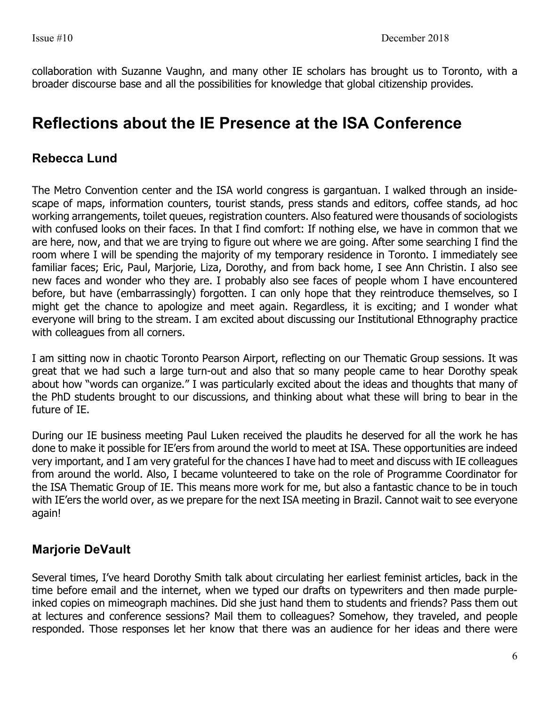collaboration with Suzanne Vaughn, and many other IE scholars has brought us to Toronto, with a broader discourse base and all the possibilities for knowledge that global citizenship provides.

## **Reflections about the IE Presence at the ISA Conference**

### **Rebecca Lund**

The Metro Convention center and the ISA world congress is gargantuan. I walked through an insidescape of maps, information counters, tourist stands, press stands and editors, coffee stands, ad hoc working arrangements, toilet queues, registration counters. Also featured were thousands of sociologists with confused looks on their faces. In that I find comfort: If nothing else, we have in common that we are here, now, and that we are trying to figure out where we are going. After some searching I find the room where I will be spending the majority of my temporary residence in Toronto. I immediately see familiar faces; Eric, Paul, Marjorie, Liza, Dorothy, and from back home, I see Ann Christin. I also see new faces and wonder who they are. I probably also see faces of people whom I have encountered before, but have (embarrassingly) forgotten. I can only hope that they reintroduce themselves, so I might get the chance to apologize and meet again. Regardless, it is exciting; and I wonder what everyone will bring to the stream. I am excited about discussing our Institutional Ethnography practice with colleagues from all corners.

I am sitting now in chaotic Toronto Pearson Airport, reflecting on our Thematic Group sessions. It was great that we had such a large turn-out and also that so many people came to hear Dorothy speak about how "words can organize." I was particularly excited about the ideas and thoughts that many of the PhD students brought to our discussions, and thinking about what these will bring to bear in the future of IE.

During our IE business meeting Paul Luken received the plaudits he deserved for all the work he has done to make it possible for IE'ers from around the world to meet at ISA. These opportunities are indeed very important, and I am very grateful for the chances I have had to meet and discuss with IE colleagues from around the world. Also, I became volunteered to take on the role of Programme Coordinator for the ISA Thematic Group of IE. This means more work for me, but also a fantastic chance to be in touch with IE'ers the world over, as we prepare for the next ISA meeting in Brazil. Cannot wait to see everyone again!

### **Marjorie DeVault**

Several times, I've heard Dorothy Smith talk about circulating her earliest feminist articles, back in the time before email and the internet, when we typed our drafts on typewriters and then made purpleinked copies on mimeograph machines. Did she just hand them to students and friends? Pass them out at lectures and conference sessions? Mail them to colleagues? Somehow, they traveled, and people responded. Those responses let her know that there was an audience for her ideas and there were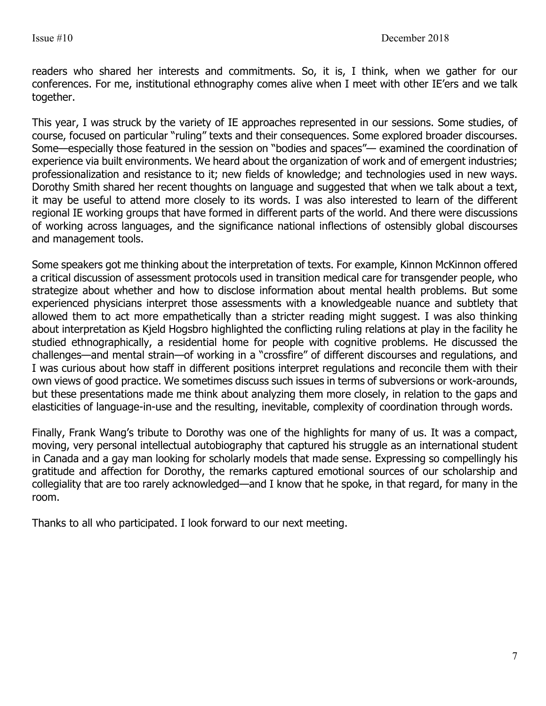readers who shared her interests and commitments. So, it is, I think, when we gather for our conferences. For me, institutional ethnography comes alive when I meet with other IE'ers and we talk together.

This year, I was struck by the variety of IE approaches represented in our sessions. Some studies, of course, focused on particular "ruling" texts and their consequences. Some explored broader discourses. Some—especially those featured in the session on "bodies and spaces"— examined the coordination of experience via built environments. We heard about the organization of work and of emergent industries; professionalization and resistance to it; new fields of knowledge; and technologies used in new ways. Dorothy Smith shared her recent thoughts on language and suggested that when we talk about a text, it may be useful to attend more closely to its words. I was also interested to learn of the different regional IE working groups that have formed in different parts of the world. And there were discussions of working across languages, and the significance national inflections of ostensibly global discourses and management tools.

Some speakers got me thinking about the interpretation of texts. For example, Kinnon McKinnon offered a critical discussion of assessment protocols used in transition medical care for transgender people, who strategize about whether and how to disclose information about mental health problems. But some experienced physicians interpret those assessments with a knowledgeable nuance and subtlety that allowed them to act more empathetically than a stricter reading might suggest. I was also thinking about interpretation as Kjeld Hogsbro highlighted the conflicting ruling relations at play in the facility he studied ethnographically, a residential home for people with cognitive problems. He discussed the challenges—and mental strain—of working in a "crossfire" of different discourses and regulations, and I was curious about how staff in different positions interpret regulations and reconcile them with their own views of good practice. We sometimes discuss such issues in terms of subversions or work-arounds, but these presentations made me think about analyzing them more closely, in relation to the gaps and elasticities of language-in-use and the resulting, inevitable, complexity of coordination through words.

Finally, Frank Wang's tribute to Dorothy was one of the highlights for many of us. It was a compact, moving, very personal intellectual autobiography that captured his struggle as an international student in Canada and a gay man looking for scholarly models that made sense. Expressing so compellingly his gratitude and affection for Dorothy, the remarks captured emotional sources of our scholarship and collegiality that are too rarely acknowledged—and I know that he spoke, in that regard, for many in the room.

Thanks to all who participated. I look forward to our next meeting.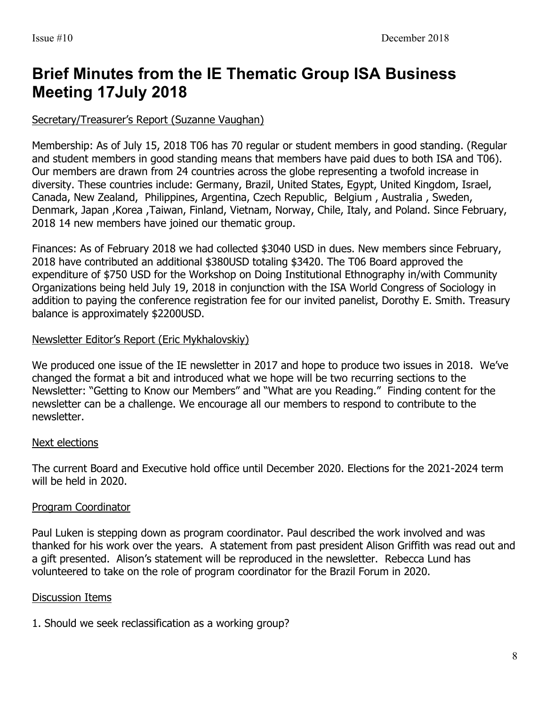# **Brief Minutes from the IE Thematic Group ISA Business Meeting 17July 2018**

#### Secretary/Treasurer's Report (Suzanne Vaughan)

Membership: As of July 15, 2018 T06 has 70 regular or student members in good standing. (Regular and student members in good standing means that members have paid dues to both ISA and T06). Our members are drawn from 24 countries across the globe representing a twofold increase in diversity. These countries include: Germany, Brazil, United States, Egypt, United Kingdom, Israel, Canada, New Zealand, Philippines, Argentina, Czech Republic, Belgium , Australia , Sweden, Denmark, Japan ,Korea ,Taiwan, Finland, Vietnam, Norway, Chile, Italy, and Poland. Since February, 2018 14 new members have joined our thematic group.

Finances: As of February 2018 we had collected \$3040 USD in dues. New members since February, 2018 have contributed an additional \$380USD totaling \$3420. The T06 Board approved the expenditure of \$750 USD for the Workshop on Doing Institutional Ethnography in/with Community Organizations being held July 19, 2018 in conjunction with the ISA World Congress of Sociology in addition to paying the conference registration fee for our invited panelist, Dorothy E. Smith. Treasury balance is approximately \$2200USD.

#### Newsletter Editor's Report (Eric Mykhalovskiy)

We produced one issue of the IE newsletter in 2017 and hope to produce two issues in 2018. We've changed the format a bit and introduced what we hope will be two recurring sections to the Newsletter: "Getting to Know our Members" and "What are you Reading." Finding content for the newsletter can be a challenge. We encourage all our members to respond to contribute to the newsletter.

#### Next elections

The current Board and Executive hold office until December 2020. Elections for the 2021-2024 term will be held in 2020.

#### Program Coordinator

Paul Luken is stepping down as program coordinator. Paul described the work involved and was thanked for his work over the years. A statement from past president Alison Griffith was read out and a gift presented. Alison's statement will be reproduced in the newsletter. Rebecca Lund has volunteered to take on the role of program coordinator for the Brazil Forum in 2020.

#### Discussion Items

1. Should we seek reclassification as a working group?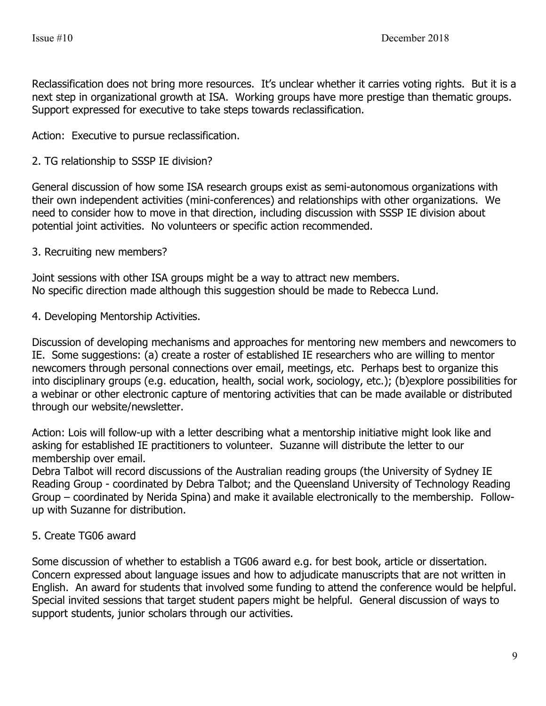Reclassification does not bring more resources. It's unclear whether it carries voting rights. But it is a next step in organizational growth at ISA. Working groups have more prestige than thematic groups. Support expressed for executive to take steps towards reclassification.

Action: Executive to pursue reclassification.

#### 2. TG relationship to SSSP IE division?

General discussion of how some ISA research groups exist as semi-autonomous organizations with their own independent activities (mini-conferences) and relationships with other organizations. We need to consider how to move in that direction, including discussion with SSSP IE division about potential joint activities. No volunteers or specific action recommended.

#### 3. Recruiting new members?

Joint sessions with other ISA groups might be a way to attract new members. No specific direction made although this suggestion should be made to Rebecca Lund.

4. Developing Mentorship Activities.

Discussion of developing mechanisms and approaches for mentoring new members and newcomers to IE. Some suggestions: (a) create a roster of established IE researchers who are willing to mentor newcomers through personal connections over email, meetings, etc. Perhaps best to organize this into disciplinary groups (e.g. education, health, social work, sociology, etc.); (b)explore possibilities for a webinar or other electronic capture of mentoring activities that can be made available or distributed through our website/newsletter.

Action: Lois will follow-up with a letter describing what a mentorship initiative might look like and asking for established IE practitioners to volunteer. Suzanne will distribute the letter to our membership over email.

Debra Talbot will record discussions of the Australian reading groups (the University of Sydney IE Reading Group - coordinated by Debra Talbot; and the Queensland University of Technology Reading Group – coordinated by Nerida Spina) and make it available electronically to the membership. Followup with Suzanne for distribution.

#### 5. Create TG06 award

Some discussion of whether to establish a TG06 award e.g. for best book, article or dissertation. Concern expressed about language issues and how to adjudicate manuscripts that are not written in English. An award for students that involved some funding to attend the conference would be helpful. Special invited sessions that target student papers might be helpful. General discussion of ways to support students, junior scholars through our activities.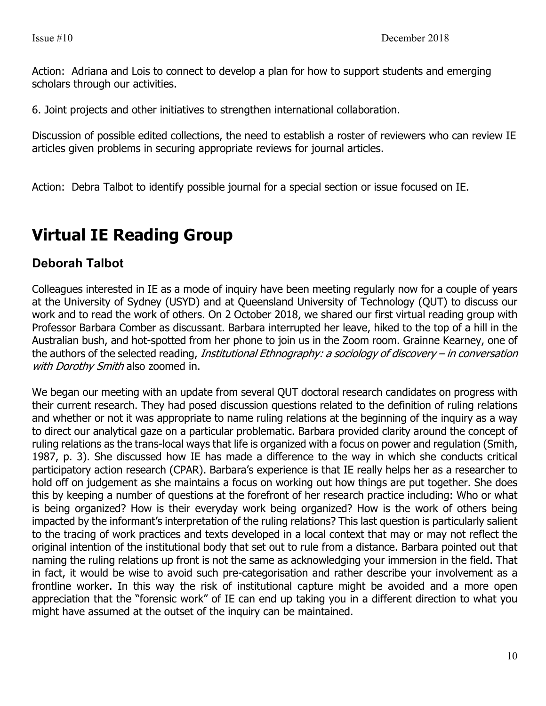Action: Adriana and Lois to connect to develop a plan for how to support students and emerging scholars through our activities.

6. Joint projects and other initiatives to strengthen international collaboration.

Discussion of possible edited collections, the need to establish a roster of reviewers who can review IE articles given problems in securing appropriate reviews for journal articles.

Action: Debra Talbot to identify possible journal for a special section or issue focused on IE.

# **Virtual IE Reading Group**

### **Deborah Talbot**

Colleagues interested in IE as a mode of inquiry have been meeting regularly now for a couple of years at the University of Sydney (USYD) and at Queensland University of Technology (QUT) to discuss our work and to read the work of others. On 2 October 2018, we shared our first virtual reading group with Professor Barbara Comber as discussant. Barbara interrupted her leave, hiked to the top of a hill in the Australian bush, and hot-spotted from her phone to join us in the Zoom room. Grainne Kearney, one of the authors of the selected reading, *Institutional Ethnography: a sociology of discovery – in conversation* with Dorothy Smith also zoomed in.

We began our meeting with an update from several QUT doctoral research candidates on progress with their current research. They had posed discussion questions related to the definition of ruling relations and whether or not it was appropriate to name ruling relations at the beginning of the inquiry as a way to direct our analytical gaze on a particular problematic. Barbara provided clarity around the concept of ruling relations as the trans-local ways that life is organized with a focus on power and regulation (Smith, 1987, p. 3). She discussed how IE has made a difference to the way in which she conducts critical participatory action research (CPAR). Barbara's experience is that IE really helps her as a researcher to hold off on judgement as she maintains a focus on working out how things are put together. She does this by keeping a number of questions at the forefront of her research practice including: Who or what is being organized? How is their everyday work being organized? How is the work of others being impacted by the informant's interpretation of the ruling relations? This last question is particularly salient to the tracing of work practices and texts developed in a local context that may or may not reflect the original intention of the institutional body that set out to rule from a distance. Barbara pointed out that naming the ruling relations up front is not the same as acknowledging your immersion in the field. That in fact, it would be wise to avoid such pre-categorisation and rather describe your involvement as a frontline worker. In this way the risk of institutional capture might be avoided and a more open appreciation that the "forensic work" of IE can end up taking you in a different direction to what you might have assumed at the outset of the inquiry can be maintained.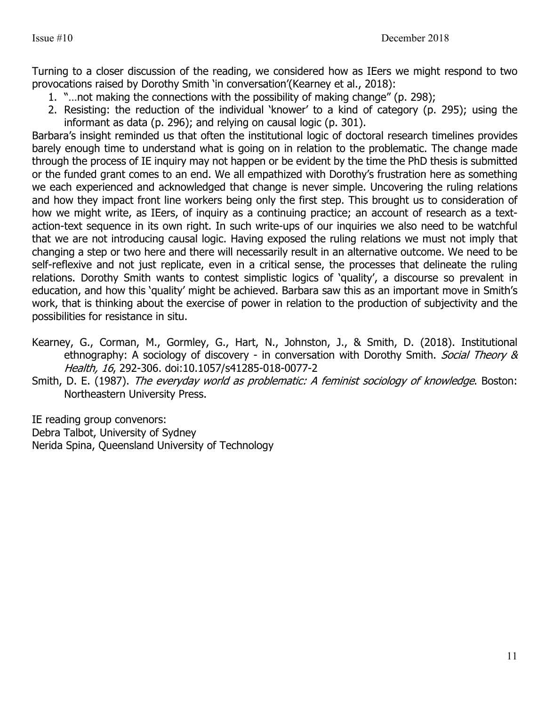Turning to a closer discussion of the reading, we considered how as IEers we might respond to two provocations raised by Dorothy Smith 'in conversation'(Kearney et al., 2018):

- 1. "…not making the connections with the possibility of making change" (p. 298);
- 2. Resisting: the reduction of the individual 'knower' to a kind of category (p. 295); using the informant as data (p. 296); and relying on causal logic (p. 301).

Barbara's insight reminded us that often the institutional logic of doctoral research timelines provides barely enough time to understand what is going on in relation to the problematic. The change made through the process of IE inquiry may not happen or be evident by the time the PhD thesis is submitted or the funded grant comes to an end. We all empathized with Dorothy's frustration here as something we each experienced and acknowledged that change is never simple. Uncovering the ruling relations and how they impact front line workers being only the first step. This brought us to consideration of how we might write, as IEers, of inquiry as a continuing practice; an account of research as a textaction-text sequence in its own right. In such write-ups of our inquiries we also need to be watchful that we are not introducing causal logic. Having exposed the ruling relations we must not imply that changing a step or two here and there will necessarily result in an alternative outcome. We need to be self-reflexive and not just replicate, even in a critical sense, the processes that delineate the ruling relations. Dorothy Smith wants to contest simplistic logics of 'quality', a discourse so prevalent in education, and how this 'quality' might be achieved. Barbara saw this as an important move in Smith's work, that is thinking about the exercise of power in relation to the production of subjectivity and the possibilities for resistance in situ.

- Kearney, G., Corman, M., Gormley, G., Hart, N., Johnston, J., & Smith, D. (2018). Institutional ethnography: A sociology of discovery - in conversation with Dorothy Smith. Social Theory & Health, 16, 292-306. doi:10.1057/s41285-018-0077-2
- Smith, D. E. (1987). The everyday world as problematic: A feminist sociology of knowledge. Boston: Northeastern University Press.

IE reading group convenors: Debra Talbot, University of Sydney Nerida Spina, Queensland University of Technology